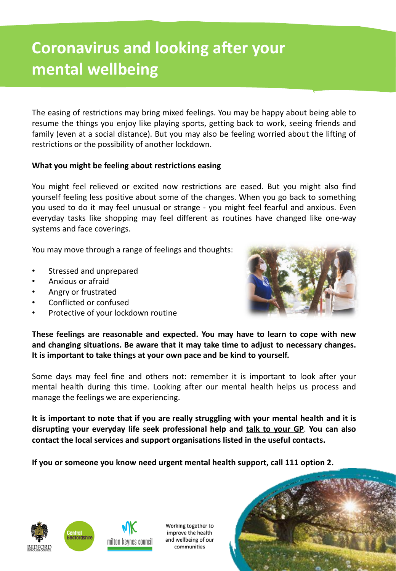# **Coronavirus and looking after your mental wellbeing**

The easing of restrictions may bring mixed feelings. You may be happy about being able to resume the things you enjoy like playing sports, getting back to work, seeing friends and family (even at a social distance). But you may also be feeling worried about the lifting of restrictions or the possibility of another lockdown.

#### **What you might be feeling about restrictions easing**

You might feel relieved or excited now restrictions are eased. But you might also find yourself feeling less positive about some of the changes. When you go back to something you used to do it may feel unusual or strange - you might feel fearful and anxious. Even everyday tasks like shopping may feel different as routines have changed like one-way systems and face coverings.

You may move through a range of feelings and thoughts:

- Stressed and unprepared
- Anxious or afraid
- Angry or frustrated
- Conflicted or confused
- Protective of your lockdown routine



**These feelings are reasonable and expected. You may have to learn to cope with new and changing situations. Be aware that it may take time to adjust to necessary changes. It is important to take things at your own pace and be kind to yourself.**

Some days may feel fine and others not: remember it is important to look after your mental health during this time. Looking after our mental health helps us process and manage the feelings we are experiencing.

**It is important to note that if you are really struggling with your mental health and it is disrupting your everyday life seek professional help and talk to your GP**. **You can also contact the local services and support organisations listed in the useful contacts.**

**If you or someone you know need urgent mental health support, call 111 option 2.**





Working together to improve the health and wellbeing of our communities

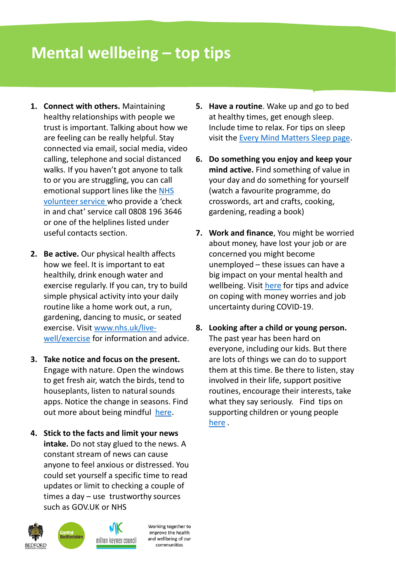## **Mental wellbeing – top tips**

- **1. Connect with others.** Maintaining healthy relationships with people we trust is important. Talking about how we are feeling can be really helpful. Stay connected via email, social media, video calling, telephone and social distanced walks. If you haven't got anyone to talk to or you are struggling, you can call [emotional support lines like the NHS](https://nhsvolunteerresponders.org.uk/services) volunteer service who provide a 'check in and chat' service call 0808 196 3646 or one of the helplines listed under useful contacts section.
- **2. Be active.** Our physical health affects how we feel. It is important to eat healthily, drink enough water and exercise regularly. If you can, try to build simple physical activity into your daily routine like a home work out, a run, gardening, dancing to music, or seated [exercise. Visit www.nhs.uk/live](http://www.nhs.uk/live-well/exercise)well/exercise for information and advice.
- **3. Take notice and focus on the present.** Engage with nature. Open the windows to get fresh air, watch the birds, tend to houseplants, listen to natural sounds apps. Notice the change in seasons. Find out more about being mindful [here](https://www.nhs.uk/conditions/stress-anxiety-depression/mindfulness/).
- **4. Stick to the facts and limit your news intake.** Do not stay glued to the news. A constant stream of news can cause anyone to feel anxious or distressed. You could set yourself a specific time to read updates or limit to checking a couple of times a day – use trustworthy sources such as GOV.UK or NHS



- **5. Have a routine**. Wake up and go to bed at healthy times, get enough sleep. Include time to relax. For tips on sleep visit the [Every Mind Matters Sleep page.](https://www.nhs.uk/oneyou/every-mind-matters/sleep/)
- **6. Do something you enjoy and keep your mind active.** Find something of value in your day and do something for yourself (watch a favourite programme, do crosswords, art and crafts, cooking, gardening, reading a book)
- **7. Work and finance**, You might be worried about money, have lost your job or are concerned you might become unemployed – these issues can have a big impact on your mental health and wellbeing. Visit [here](https://www.nhs.uk/oneyou/every-mind-matters/coping-money-worries-and-job-uncertainty-during-covid-19/) for tips and advice on coping with money worries and job uncertainty during COVID-19.
- **8. Looking after a child or young person.**  The past year has been hard on everyone, including our kids. But there are lots of things we can do to support them at this time. Be there to listen, stay involved in their life, support positive routines, encourage their interests, take what they say seriously. Find tips on supporting children or young people [here](https://www.nhs.uk/oneyou/every-mind-matters/childrens-mental-health/) .